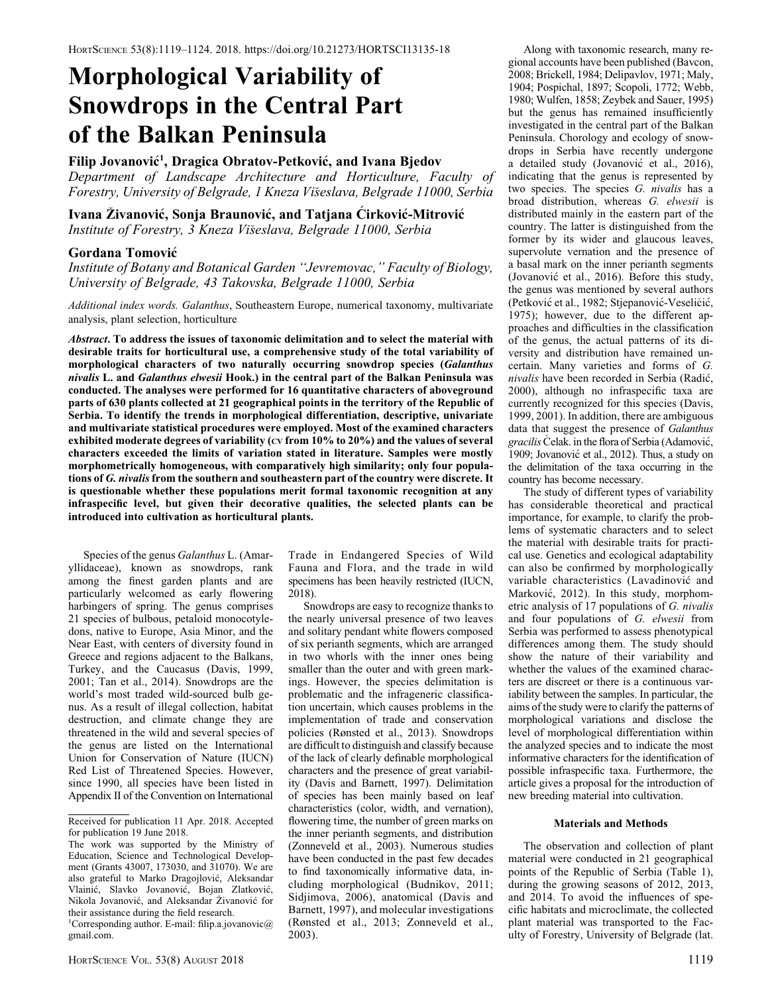# Morphological Variability of Snowdrops in the Central Part of the Balkan Peninsula

## Filip Jovanović<sup>1</sup>, Dragica Obratov-Petković, and Ivana Bjedov

Department of Landscape Architecture and Horticulture, Faculty of Forestry, University of Belgrade, 1 Kneza Viseslava, Belgrade 11000, Serbia

Ivana Živanović, Sonja Braunović, and Tatjana Cirković-Mitrović Institute of Forestry, 3 Kneza Viseslava, Belgrade 11000, Serbia

### Gordana Tomovic

Institute of Botany and Botanical Garden ''Jevremovac,'' Faculty of Biology, University of Belgrade, 43 Takovska, Belgrade 11000, Serbia

Additional index words. Galanthus, Southeastern Europe, numerical taxonomy, multivariate analysis, plant selection, horticulture

Abstract. To address the issues of taxonomic delimitation and to select the material with desirable traits for horticultural use, a comprehensive study of the total variability of morphological characters of two naturally occurring snowdrop species (Galanthus nivalis L. and Galanthus elwesii Hook.) in the central part of the Balkan Peninsula was conducted. The analyses were performed for 16 quantitative characters of aboveground parts of 630 plants collected at 21 geographical points in the territory of the Republic of Serbia. To identify the trends in morphological differentiation, descriptive, univariate and multivariate statistical procedures were employed. Most of the examined characters exhibited moderate degrees of variability (cv from 10% to 20%) and the values of several characters exceeded the limits of variation stated in literature. Samples were mostly morphometrically homogeneous, with comparatively high similarity; only four populations of G. nivalis from the southern and southeastern part of the country were discrete. It is questionable whether these populations merit formal taxonomic recognition at any infraspecific level, but given their decorative qualities, the selected plants can be introduced into cultivation as horticultural plants.

Species of the genus Galanthus L. (Amaryllidaceae), known as snowdrops, rank among the finest garden plants and are particularly welcomed as early flowering harbingers of spring. The genus comprises 21 species of bulbous, petaloid monocotyledons, native to Europe, Asia Minor, and the Near East, with centers of diversity found in Greece and regions adjacent to the Balkans, Turkey, and the Caucasus (Davis, 1999, 2001; Tan et al., 2014). Snowdrops are the world's most traded wild-sourced bulb genus. As a result of illegal collection, habitat destruction, and climate change they are threatened in the wild and several species of the genus are listed on the International Union for Conservation of Nature (IUCN) Red List of Threatened Species. However, since 1990, all species have been listed in Appendix II of the Convention on International

Trade in Endangered Species of Wild Fauna and Flora, and the trade in wild specimens has been heavily restricted (IUCN, 2018).

Snowdrops are easy to recognize thanks to the nearly universal presence of two leaves and solitary pendant white flowers composed of six perianth segments, which are arranged in two whorls with the inner ones being smaller than the outer and with green markings. However, the species delimitation is problematic and the infrageneric classification uncertain, which causes problems in the implementation of trade and conservation policies (Rønsted et al., 2013). Snowdrops are difficult to distinguish and classify because of the lack of clearly definable morphological characters and the presence of great variability (Davis and Barnett, 1997). Delimitation of species has been mainly based on leaf characteristics (color, width, and vernation), flowering time, the number of green marks on the inner perianth segments, and distribution (Zonneveld et al., 2003). Numerous studies have been conducted in the past few decades to find taxonomically informative data, including morphological (Budnikov, 2011; Sidjimova, 2006), anatomical (Davis and Barnett, 1997), and molecular investigations (Rønsted et al., 2013; Zonneveld et al., 2003).

Along with taxonomic research, many regional accounts have been published (Bavcon, 2008; Brickell, 1984; Delipavlov, 1971; Maly, 1904; Pospichal, 1897; Scopoli, 1772; Webb, 1980; Wulfen, 1858; Zeybek and Sauer, 1995) but the genus has remained insufficiently investigated in the central part of the Balkan Peninsula. Chorology and ecology of snowdrops in Serbia have recently undergone a detailed study (Jovanovic et al., 2016), indicating that the genus is represented by two species. The species G. nivalis has a broad distribution, whereas G. elwesii is distributed mainly in the eastern part of the country. The latter is distinguished from the former by its wider and glaucous leaves, supervolute vernation and the presence of a basal mark on the inner perianth segments (Jovanovic et al., 2016). Before this study, the genus was mentioned by several authors (Petkovic et al., 1982; Stjepanovic-Veselicic, 1975); however, due to the different approaches and difficulties in the classification of the genus, the actual patterns of its diversity and distribution have remained uncertain. Many varieties and forms of G. nivalis have been recorded in Serbia (Radic, 2000), although no infraspecific taxa are currently recognized for this species (Davis, 1999, 2001). In addition, there are ambiguous data that suggest the presence of Galanthus gracilis Čelak. in the flora of Serbia (Adamović, 1909; Jovanovic et al., 2012). Thus, a study on the delimitation of the taxa occurring in the country has become necessary.

The study of different types of variability has considerable theoretical and practical importance, for example, to clarify the problems of systematic characters and to select the material with desirable traits for practical use. Genetics and ecological adaptability can also be confirmed by morphologically variable characteristics (Lavadinovic and Markovic, 2012). In this study, morphometric analysis of 17 populations of G. nivalis and four populations of G. elwesii from Serbia was performed to assess phenotypical differences among them. The study should show the nature of their variability and whether the values of the examined characters are discreet or there is a continuous variability between the samples. In particular, the aims of the study were to clarify the patterns of morphological variations and disclose the level of morphological differentiation within the analyzed species and to indicate the most informative characters for the identification of possible infraspecific taxa. Furthermore, the article gives a proposal for the introduction of new breeding material into cultivation.

#### Materials and Methods

The observation and collection of plant material were conducted in 21 geographical points of the Republic of Serbia (Table 1), during the growing seasons of 2012, 2013, and 2014. To avoid the influences of specific habitats and microclimate, the collected plant material was transported to the Faculty of Forestry, University of Belgrade (lat.

Received for publication 11 Apr. 2018. Accepted for publication 19 June 2018.

The work was supported by the Ministry of Education, Science and Technological Development (Grants 43007, 173030, and 31070). We are also grateful to Marko Dragojlovic, Aleksandar Vlainic, Slavko Jovanovic, Bojan Zlatkovic, Nikola Jovanović, and Aleksandar Živanović for their assistance during the field research.

<sup>&</sup>lt;sup>1</sup>Corresponding author. E-mail: filip.a.jovanovic@ gmail.com.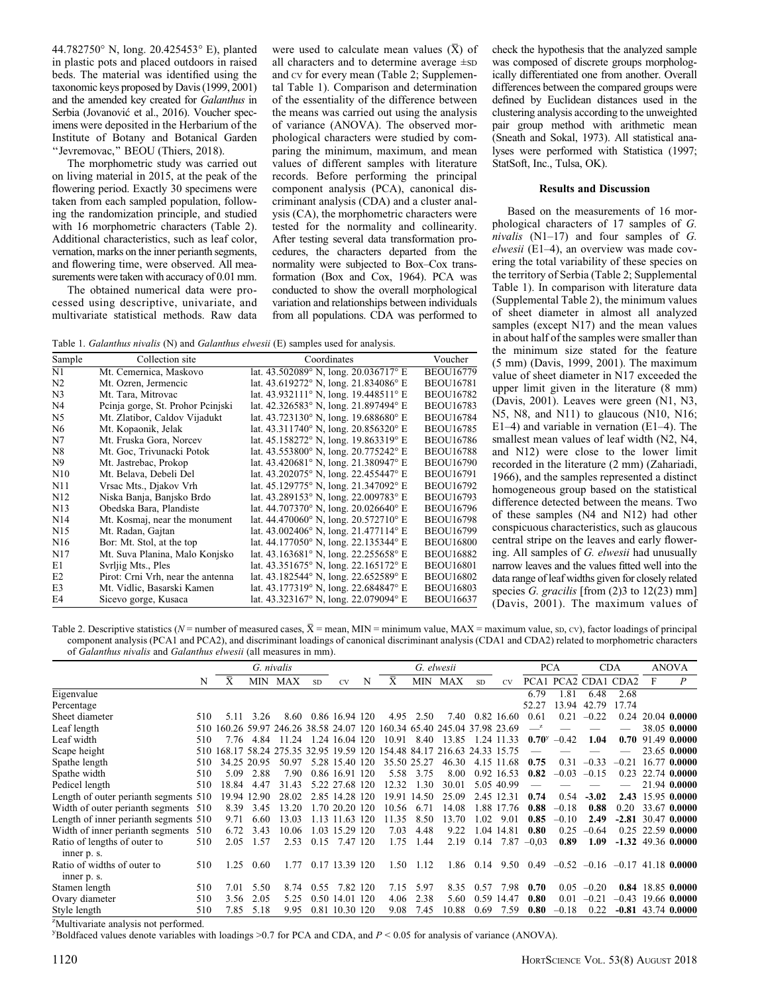44.782750° N, long. 20.425453° E), planted in plastic pots and placed outdoors in raised beds. The material was identified using the taxonomic keys proposed by Davis (1999, 2001) and the amended key created for Galanthus in Serbia (Jovanović et al., 2016). Voucher specimens were deposited in the Herbarium of the Institute of Botany and Botanical Garden ''Jevremovac,'' BEOU (Thiers, 2018).

The morphometric study was carried out on living material in 2015, at the peak of the flowering period. Exactly 30 specimens were taken from each sampled population, following the randomization principle, and studied with 16 morphometric characters (Table 2). Additional characteristics, such as leaf color, vernation, marks on the inner perianth segments, and flowering time, were observed. All measurements were taken with accuracy of 0.01 mm.

The obtained numerical data were processed using descriptive, univariate, and multivariate statistical methods. Raw data

were used to calculate mean values  $(\bar{X})$  of all characters and to determine average ±SD and CV for every mean (Table 2; Supplemental Table 1). Comparison and determination of the essentiality of the difference between the means was carried out using the analysis of variance (ANOVA). The observed morphological characters were studied by comparing the minimum, maximum, and mean values of different samples with literature records. Before performing the principal component analysis (PCA), canonical discriminant analysis (CDA) and a cluster analysis (CA), the morphometric characters were tested for the normality and collinearity. After testing several data transformation procedures, the characters departed from the normality were subjected to Box–Cox transformation (Box and Cox, 1964). PCA was conducted to show the overall morphological variation and relationships between individuals from all populations. CDA was performed to

Table 1. Galanthus nivalis (N) and Galanthus elwesii (E) samples used for analysis.

| Sample              | Collection site                   | Coordinates                                             | Voucher          |
|---------------------|-----------------------------------|---------------------------------------------------------|------------------|
| $\overline{\rm N1}$ | Mt. Cemernica, Maskovo            | lat. $43.502089^{\circ}$ N, long. $20.036717^{\circ}$ E | <b>BEOU16779</b> |
| N <sub>2</sub>      | Mt. Ozren, Jermencic              | lat. $43.619272^{\circ}$ N, long. $21.834086^{\circ}$ E | <b>BEOU16781</b> |
| N <sub>3</sub>      | Mt. Tara, Mitrovac                | lat. $43.932111^{\circ}$ N, long. $19.448511^{\circ}$ E | <b>BEOU16782</b> |
| N <sub>4</sub>      | Peinja gorge, St. Prohor Peinjski | lat. $42.326583^{\circ}$ N, long. $21.897494^{\circ}$ E | <b>BEOU16783</b> |
| N <sub>5</sub>      | Mt. Zlatibor, Caldov Vijadukt     | lat. $43.723130^{\circ}$ N, long. $19.688680^{\circ}$ E | <b>BEOU16784</b> |
| N <sub>6</sub>      | Mt. Kopaonik, Jelak               | lat. $43.311740^{\circ}$ N, long. $20.856320^{\circ}$ E | <b>BEOU16785</b> |
| N7                  | Mt. Fruska Gora, Norcev           | lat. $45.158272^{\circ}$ N, long. $19.863319^{\circ}$ E | <b>BEOU16786</b> |
| N <sub>8</sub>      | Mt. Goc, Trivunacki Potok         | lat. $43.553800^{\circ}$ N, long. $20.775242^{\circ}$ E | <b>BEOU16788</b> |
| N <sub>9</sub>      | Mt. Jastrebac, Prokop             | lat. $43.420681^{\circ}$ N, long. $21.380947^{\circ}$ E | <b>BEOU16790</b> |
| N10                 | Mt. Belava, Debeli Del            | lat. $43.202075^{\circ}$ N, long. 22.455447° E          | <b>BEOU16791</b> |
| N11                 | Vrsac Mts., Djakov Vrh            | lat. $45.129775^{\circ}$ N, long. $21.347092^{\circ}$ E | <b>BEOU16792</b> |
| N <sub>12</sub>     | Niska Banja, Banjsko Brdo         | lat. $43.289153^{\circ}$ N, long. $22.009783^{\circ}$ E | <b>BEOU16793</b> |
| N13                 | Obedska Bara, Plandiste           | lat. $44.707370^{\circ}$ N, long. $20.026640^{\circ}$ E | <b>BEOU16796</b> |
| N14                 | Mt. Kosmaj, near the monument     | lat. $44.470060^{\circ}$ N, long. $20.572710^{\circ}$ E | <b>BEOU16798</b> |
| N <sub>15</sub>     | Mt. Radan, Gajtan                 | lat. $43.002406^{\circ}$ N, long. $21.477114^{\circ}$ E | <b>BEOU16799</b> |
| N <sub>16</sub>     | Bor: Mt. Stol, at the top         | lat. 44.177050° N, long. 22.135344° E                   | <b>BEOU16800</b> |
| N <sub>17</sub>     | Mt. Suva Planina, Malo Konjsko    | lat. $43.163681^{\circ}$ N, long. $22.255658^{\circ}$ E | <b>BEOU16882</b> |
| E1                  | Svrljig Mts., Ples                | lat. $43.351675^{\circ}$ N, long. $22.165172^{\circ}$ E | <b>BEOU16801</b> |
| E <sub>2</sub>      | Pirot: Crni Vrh, near the antenna | lat. $43.182544^{\circ}$ N, long. $22.652589^{\circ}$ E | <b>BEOU16802</b> |
| E <sub>3</sub>      | Mt. Vidlic, Basarski Kamen        | lat. 43.177319° N, long. 22.684847° E                   | <b>BEOU16803</b> |
| E4                  | Sicevo gorge, Kusaca              | lat. $43.323167^{\circ}$ N, long. $22.079094^{\circ}$ E | <b>BEOU16637</b> |

check the hypothesis that the analyzed sample was composed of discrete groups morphologically differentiated one from another. Overall differences between the compared groups were defined by Euclidean distances used in the clustering analysis according to the unweighted pair group method with arithmetic mean (Sneath and Sokal, 1973). All statistical analyses were performed with Statistica (1997; StatSoft, Inc., Tulsa, OK).

#### Results and Discussion

Based on the measurements of 16 morphological characters of 17 samples of G. nivalis  $(N1-17)$  and four samples of G. elwesii (E1–4), an overview was made covering the total variability of these species on the territory of Serbia (Table 2; Supplemental Table 1). In comparison with literature data (Supplemental Table 2), the minimum values of sheet diameter in almost all analyzed samples (except N17) and the mean values in about half of the samples were smaller than the minimum size stated for the feature (5 mm) (Davis, 1999, 2001). The maximum value of sheet diameter in N17 exceeded the upper limit given in the literature (8 mm) (Davis, 2001). Leaves were green (N1, N3, N5, N8, and N11) to glaucous (N10, N16; E1–4) and variable in vernation (E1–4). The smallest mean values of leaf width (N2, N4, and N12) were close to the lower limit recorded in the literature (2 mm) (Zahariadi, 1966), and the samples represented a distinct homogeneous group based on the statistical difference detected between the means. Two of these samples (N4 and N12) had other conspicuous characteristics, such as glaucous central stripe on the leaves and early flowering. All samples of G. elwesii had unusually narrow leaves and the values fitted well into the data range of leaf widths given for closely related species G. gracilis [from (2)3 to 12(23) mm] (Davis, 2001). The maximum values of

Table 2. Descriptive statistics ( $N =$  number of measured cases,  $\overline{X} =$  mean, MIN = minimum value, MAX = maximum value, sp, cv), factor loadings of principal component analysis (PCA1 and PCA2), and discriminant loadings of canonical discriminant analysis (CDA1 and CDA2) related to morphometric characters of Galanthus nivalis and Galanthus elwesii (all measures in mm).

|                                             |     |                                                                         |             | G. nivalis |           |                |   |       |             | G. elwesii |            |            |                | <b>PCA</b> |             | <b>CDA</b>                           |   | <b>ANOVA</b>         |
|---------------------------------------------|-----|-------------------------------------------------------------------------|-------------|------------|-----------|----------------|---|-------|-------------|------------|------------|------------|----------------|------------|-------------|--------------------------------------|---|----------------------|
|                                             | N   | Χ                                                                       |             | MIN MAX    | <b>SD</b> | CV <sub></sub> | N | X     |             | MIN MAX    | <b>SD</b>  | CV.        |                |            |             | PCA1 PCA2 CDA1 CDA2                  | F | $\boldsymbol{P}$     |
| Eigenvalue                                  |     |                                                                         |             |            |           |                |   |       |             |            |            |            | 6.79           | 1.81       | 6.48        | 2.68                                 |   |                      |
| Percentage                                  |     |                                                                         |             |            |           |                |   |       |             |            |            |            | 52.27          |            | 13.94 42.79 | 17.74                                |   |                      |
| Sheet diameter                              | 510 | 5.11                                                                    | 3.26        | 8.60       |           | 0.86 16.94 120 |   |       | 4.95 2.50   | 7.40       |            | 0.82 16.60 | 0.61           | 0.21       | $-0.22$     | 0.24                                 |   | 20.04 0.0000         |
| Leaf length                                 |     | 510 160.26 59.97 246.26 38.58 24.07 120 160.34 65.40 245.04 37.98 23.69 |             |            |           |                |   |       |             |            |            |            |                |            |             |                                      |   | 38.05 0.0000         |
| Leaf width                                  | 510 |                                                                         | 776 484     | 11 24      |           | 1.24 16.04 120 |   | 10.91 | 8.40        | 13.85      | 1.24 11.33 |            | $0.70^{\rm y}$ | $-0.42$    | 1.04        | 0.70                                 |   | 91.49 0.0000         |
| Scape height                                |     | 510 168.17 58.24 275.35 32.95 19.59 120 154.48 84.17 216.63 24.33 15.75 |             |            |           |                |   |       |             |            |            |            |                |            |             |                                      |   | 23.65 0.0000         |
| Spathe length                               | 510 |                                                                         | 34.25 20.95 | 50.97      |           | 5.28 15.40 120 |   |       | 35.50 25.27 | 46.30      |            | 4.15 11.68 | 0.75           | 0.31       | $-0.33$     | $-0.21$                              |   | 16.77 0.0000         |
| Spathe width                                | 510 | 5.09                                                                    | 2.88        | 7.90       |           | 0.86 16.91 120 |   | 5.58  | 3.75        | 8.00       |            | 0.92 16.53 | 0.82           | $-0.03$    | $-0.15$     | 0.23                                 |   | 22.74 0.0000         |
| Pedicel length                              | 510 | 18.84                                                                   | 4.47        | 31.43      |           | 5.22 27.68 120 |   | 12.32 | 1.30        | 30.01      |            | 5.05 40.99 |                |            |             |                                      |   | 21.94 0.0000         |
| Length of outer perianth segments 510       |     |                                                                         | 19.94 12.90 | 28.02      |           | 2.85 14.28 120 |   |       | 19.91 14.50 | 25.09      |            | 2.45 12.31 | 0.74           | 0.54       | $-3.02$     | 2.43                                 |   | 15.95 0.0000         |
| Width of outer perianth segments 510        |     | 8.39                                                                    | 3.45        | 13.20      |           | 1.70 20.20 120 |   | 10.56 | 6.71        | 14.08      |            | 1.88 17.76 | 0.88           | $-0.18$    | 0.88        | 0.20                                 |   | 33.67 0.0000         |
| Length of inner perianth segments 510       |     | 9.71                                                                    | 6.60        | 13.03      |           | 1.13 11.63 120 |   | 11.35 | 8.50        | 13.70      | 1.02       | 9.01       | 0.85           | $-0.10$    | 2.49        |                                      |   | $-2.81$ 30.47 0.0000 |
| Width of inner perianth segments            | 510 | 6.72                                                                    | 3.43        | 10.06      |           | 1.03 15.29 120 |   | 7.03  | 4.48        | 9.22       |            | 1.04 14.81 | 0.80           | 0.25       | $-0.64$     |                                      |   | $0.25$ 22.59 0.0000  |
| Ratio of lengths of outer to<br>inner p. s. | 510 | 2.05                                                                    | 1.57        | 2.53       | 0.15      | 7.47 120       |   | 1.75  | 1.44        | 2.19       | 0.14       |            | $7.87 - 0.03$  | 0.89       | 1.09        |                                      |   | $-1.32$ 49.36 0.0000 |
| Ratio of widths of outer to<br>inner p. s.  | 510 | 1.25                                                                    | 0.60        | 1.77       |           | 0.17 13.39 120 |   | 1.50  | 1.12        | 1.86       | 0.14       | 9.50       | 0.49           |            |             | $-0.52$ $-0.16$ $-0.17$ 41.18 0.0000 |   |                      |
| Stamen length                               | 510 | 7.01                                                                    | 5.50        | 8.74       | 0.55      | 7.82 120       |   | 7.15  | 5.97        | 8.35       | 0.57       | 7.98       | 0.70           | 0.05       | $-0.20$     |                                      |   | 0.84 18.85 0.0000    |
| Ovary diameter                              | 510 | 3.56                                                                    | 2.05        | 5.25       |           | 0.50 14.01 120 |   | 4.06  | 2.38        | 5.60       |            | 0.59 14.47 | 0.80           | 0.01       | $-0.21$     | $-0.43$                              |   | 19.66 0.0000         |
| Style length                                | 510 | 7.85                                                                    | 5.18        | 9.95       |           | 0.81 10.30 120 |   | 9.08  | 7.45        | 10.88      | 0.69       | 7.59       | 0.80           | $-0.18$    | 0.22        |                                      |   | $-0.81$ 43.74 0.0000 |

<sup>z</sup>Multivariate analysis not performed.

 $y$ Boldfaced values denote variables with loadings >0.7 for PCA and CDA, and  $P < 0.05$  for analysis of variance (ANOVA).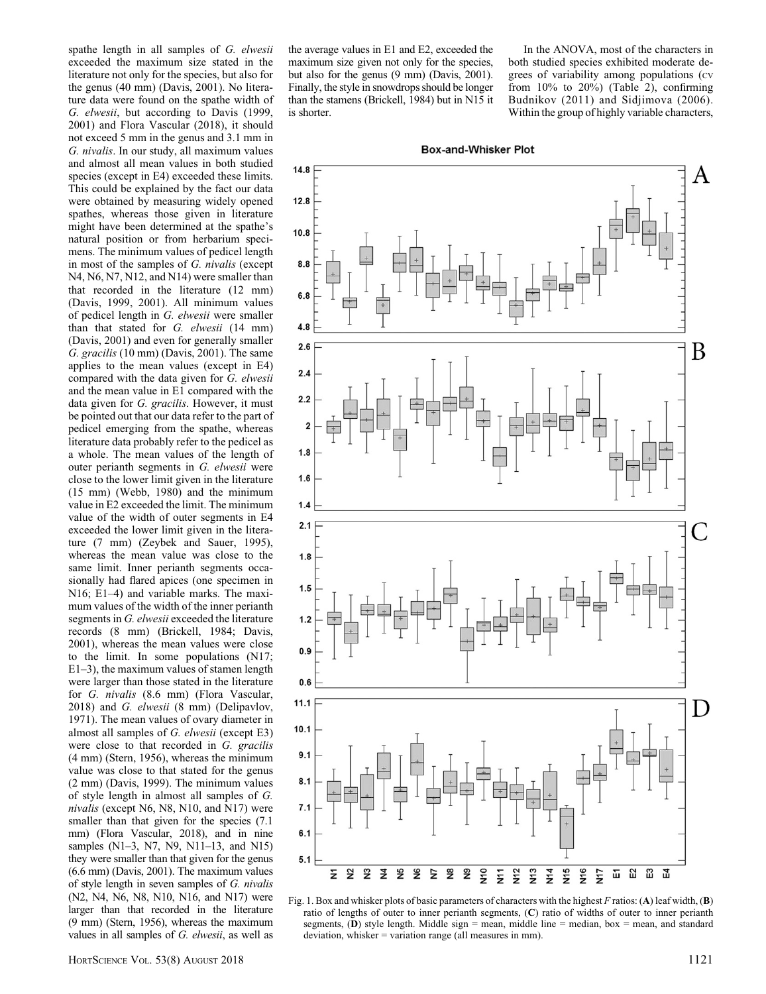spathe length in all samples of G. elwesii exceeded the maximum size stated in the literature not only for the species, but also for the genus (40 mm) (Davis, 2001). No literature data were found on the spathe width of G. elwesii, but according to Davis (1999, 2001) and Flora Vascular (2018), it should not exceed 5 mm in the genus and 3.1 mm in G. nivalis. In our study, all maximum values and almost all mean values in both studied species (except in E4) exceeded these limits. This could be explained by the fact our data were obtained by measuring widely opened spathes, whereas those given in literature might have been determined at the spathe's natural position or from herbarium specimens. The minimum values of pedicel length in most of the samples of G. nivalis (except N4, N6, N7, N12, and N14) were smaller than that recorded in the literature (12 mm) (Davis, 1999, 2001). All minimum values of pedicel length in G. elwesii were smaller than that stated for G. elwesii (14 mm) (Davis, 2001) and even for generally smaller G. gracilis (10 mm) (Davis, 2001). The same applies to the mean values (except in E4) compared with the data given for G. elwesii and the mean value in E1 compared with the data given for G. gracilis. However, it must be pointed out that our data refer to the part of pedicel emerging from the spathe, whereas literature data probably refer to the pedicel as a whole. The mean values of the length of outer perianth segments in G. elwesii were close to the lower limit given in the literature (15 mm) (Webb, 1980) and the minimum value in E2 exceeded the limit. The minimum value of the width of outer segments in E4 exceeded the lower limit given in the literature (7 mm) (Zeybek and Sauer, 1995), whereas the mean value was close to the same limit. Inner perianth segments occasionally had flared apices (one specimen in N16; E1–4) and variable marks. The maximum values of the width of the inner perianth segments in G. elwesii exceeded the literature records (8 mm) (Brickell, 1984; Davis, 2001), whereas the mean values were close to the limit. In some populations (N17; E1–3), the maximum values of stamen length were larger than those stated in the literature for G. nivalis (8.6 mm) (Flora Vascular, 2018) and G. elwesii (8 mm) (Delipavlov, 1971). The mean values of ovary diameter in almost all samples of G. elwesii (except E3) were close to that recorded in G. gracilis (4 mm) (Stern, 1956), whereas the minimum value was close to that stated for the genus (2 mm) (Davis, 1999). The minimum values of style length in almost all samples of G. nivalis (except N6, N8, N10, and N17) were smaller than that given for the species  $(7.1)$ mm) (Flora Vascular, 2018), and in nine samples (N1-3, N7, N9, N11-13, and N15) they were smaller than that given for the genus (6.6 mm) (Davis, 2001). The maximum values of style length in seven samples of G. nivalis (N2, N4, N6, N8, N10, N16, and N17) were larger than that recorded in the literature (9 mm) (Stern, 1956), whereas the maximum values in all samples of G. elwesii, as well as

In the ANOVA, most of the characters in both studied species exhibited moderate degrees of variability among populations (cv from 10% to 20%) (Table 2), confirming Budnikov (2011) and Sidjimova (2006). Within the group of highly variable characters,



Fig. 1. Box and whisker plots of basic parameters of characters with the highest F ratios: (A) leaf width,  $(B)$ ratio of lengths of outer to inner perianth segments, (C) ratio of widths of outer to inner perianth segments,  $(D)$  style length. Middle sign = mean, middle line = median, box = mean, and standard deviation, whisker = variation range (all measures in mm).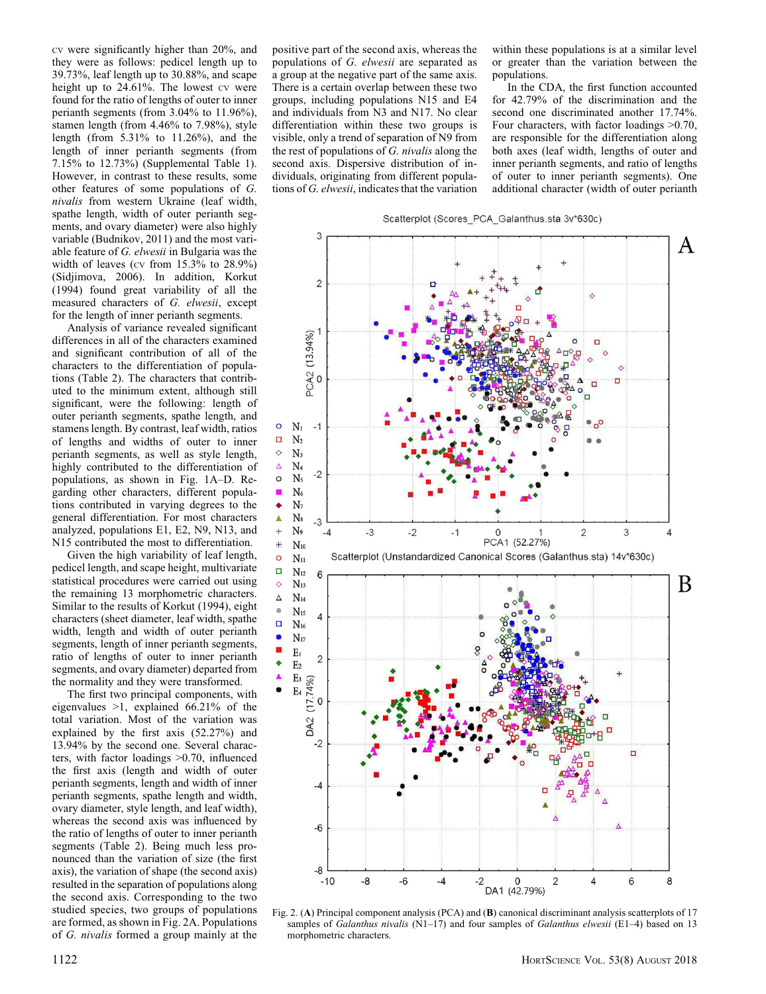CV were significantly higher than 20%, and they were as follows: pedicel length up to 39.73%, leaf length up to 30.88%, and scape height up to 24.61%. The lowest cv were found for the ratio of lengths of outer to inner perianth segments (from 3.04% to 11.96%), stamen length (from 4.46% to 7.98%), style length (from 5.31% to 11.26%), and the length of inner perianth segments (from 7.15% to 12.73%) (Supplemental Table 1). However, in contrast to these results, some other features of some populations of G. nivalis from western Ukraine (leaf width, spathe length, width of outer perianth segments, and ovary diameter) were also highly variable (Budnikov, 2011) and the most variable feature of G. elwesii in Bulgaria was the width of leaves (cv from  $15.3\%$  to  $28.9\%$ ) (Sidjimova, 2006). In addition, Korkut (1994) found great variability of all the measured characters of G. elwesii, except for the length of inner perianth segments.

Analysis of variance revealed significant differences in all of the characters examined and significant contribution of all of the characters to the differentiation of populations (Table 2). The characters that contributed to the minimum extent, although still significant, were the following: length of outer perianth segments, spathe length, and stamens length. By contrast, leaf width, ratios of lengths and widths of outer to inner perianth segments, as well as style length, highly contributed to the differentiation of populations, as shown in Fig. 1A–D. Regarding other characters, different populations contributed in varying degrees to the general differentiation. For most characters analyzed, populations E1, E2, N9, N13, and N15 contributed the most to differentiation.

Given the high variability of leaf length, pedicel length, and scape height, multivariate statistical procedures were carried out using the remaining 13 morphometric characters. Similar to the results of Korkut (1994), eight characters (sheet diameter, leaf width, spathe width, length and width of outer perianth segments, length of inner perianth segments, ratio of lengths of outer to inner perianth segments, and ovary diameter) departed from the normality and they were transformed.

The first two principal components, with eigenvalues >1, explained 66.21% of the total variation. Most of the variation was explained by the first axis (52.27%) and 13.94% by the second one. Several characters, with factor loadings >0.70, influenced the first axis (length and width of outer perianth segments, length and width of inner perianth segments, spathe length and width, ovary diameter, style length, and leaf width), whereas the second axis was influenced by the ratio of lengths of outer to inner perianth segments (Table 2). Being much less pronounced than the variation of size (the first axis), the variation of shape (the second axis) resulted in the separation of populations along the second axis. Corresponding to the two studied species, two groups of populations are formed, as shown in Fig. 2A. Populations of G. nivalis formed a group mainly at the

positive part of the second axis, whereas the populations of G. elwesii are separated as a group at the negative part of the same axis. There is a certain overlap between these two groups, including populations N15 and E4 and individuals from N3 and N17. No clear differentiation within these two groups is visible, only a trend of separation of N9 from the rest of populations of G. nivalis along the second axis. Dispersive distribution of individuals, originating from different populations of G. elwesii, indicates that the variation within these populations is at a similar level or greater than the variation between the populations.

In the CDA, the first function accounted for 42.79% of the discrimination and the second one discriminated another 17.74%. Four characters, with factor loadings >0.70, are responsible for the differentiation along both axes (leaf width, lengths of outer and inner perianth segments, and ratio of lengths of outer to inner perianth segments). One additional character (width of outer perianth



Fig. 2. (A) Principal component analysis (PCA) and (B) canonical discriminant analysis scatterplots of 17 samples of Galanthus nivalis ( $\text{N1}-17$ ) and four samples of Galanthus elwesii (E1–4) based on 13 morphometric characters.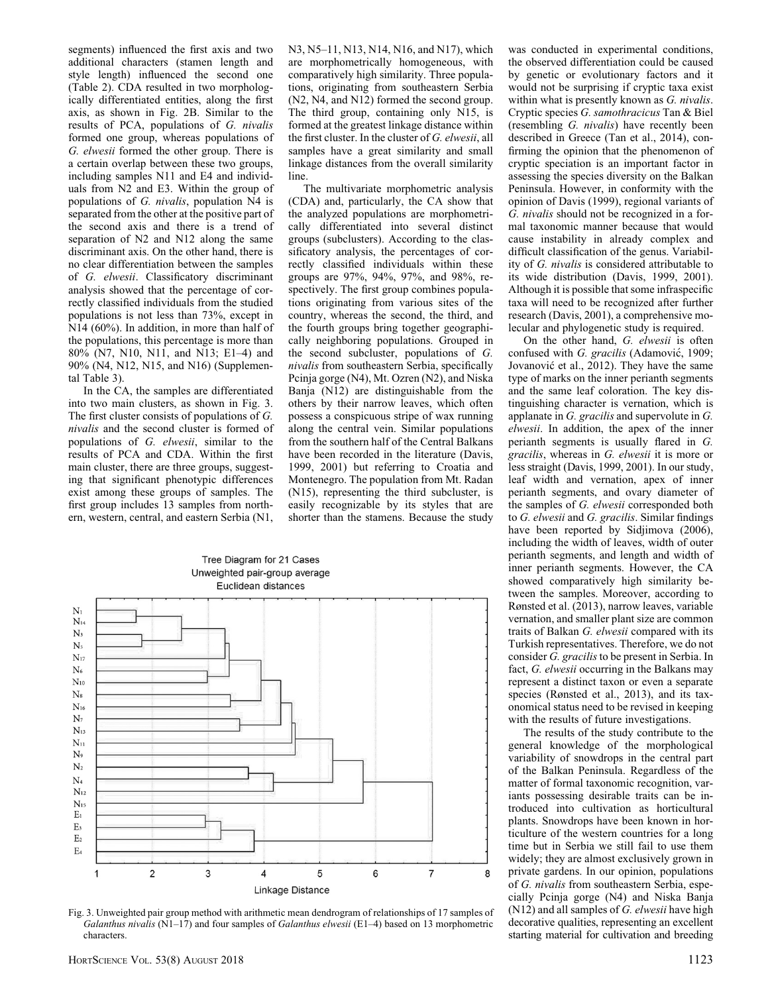segments) influenced the first axis and two additional characters (stamen length and style length) influenced the second one (Table 2). CDA resulted in two morphologically differentiated entities, along the first axis, as shown in Fig. 2B. Similar to the results of PCA, populations of G. nivalis formed one group, whereas populations of G. elwesii formed the other group. There is a certain overlap between these two groups, including samples N11 and E4 and individuals from N2 and E3. Within the group of populations of G. nivalis, population N4 is separated from the other at the positive part of the second axis and there is a trend of separation of N2 and N12 along the same discriminant axis. On the other hand, there is no clear differentiation between the samples of G. elwesii. Classificatory discriminant analysis showed that the percentage of correctly classified individuals from the studied populations is not less than 73%, except in N14 (60%). In addition, in more than half of the populations, this percentage is more than 80% (N7, N10, N11, and N13; E1–4) and 90% (N4, N12, N15, and N16) (Supplemental Table 3).

In the CA, the samples are differentiated into two main clusters, as shown in Fig. 3. The first cluster consists of populations of G. nivalis and the second cluster is formed of populations of G. elwesii, similar to the results of PCA and CDA. Within the first main cluster, there are three groups, suggesting that significant phenotypic differences exist among these groups of samples. The first group includes 13 samples from northern, western, central, and eastern Serbia (N1,

N3, N5–11, N13, N14, N16, and N17), which are morphometrically homogeneous, with comparatively high similarity. Three populations, originating from southeastern Serbia (N2, N4, and N12) formed the second group. The third group, containing only N15, is formed at the greatest linkage distance within the first cluster. In the cluster of G. elwesii, all samples have a great similarity and small linkage distances from the overall similarity line.

The multivariate morphometric analysis (CDA) and, particularly, the CA show that the analyzed populations are morphometrically differentiated into several distinct groups (subclusters). According to the classificatory analysis, the percentages of correctly classified individuals within these groups are 97%, 94%, 97%, and 98%, respectively. The first group combines populations originating from various sites of the country, whereas the second, the third, and the fourth groups bring together geographically neighboring populations. Grouped in the second subcluster, populations of G. nivalis from southeastern Serbia, specifically Pcinja gorge (N4), Mt. Ozren (N2), and Niska Banja (N12) are distinguishable from the others by their narrow leaves, which often possess a conspicuous stripe of wax running along the central vein. Similar populations from the southern half of the Central Balkans have been recorded in the literature (Davis, 1999, 2001) but referring to Croatia and Montenegro. The population from Mt. Radan (N15), representing the third subcluster, is easily recognizable by its styles that are shorter than the stamens. Because the study



Fig. 3. Unweighted pair group method with arithmetic mean dendrogram of relationships of 17 samples of Galanthus nivalis  $(N1-17)$  and four samples of Galanthus elwesii (E1-4) based on 13 morphometric characters.

was conducted in experimental conditions, the observed differentiation could be caused by genetic or evolutionary factors and it would not be surprising if cryptic taxa exist within what is presently known as G. nivalis. Cryptic species G. samothracicus Tan & Biel (resembling G. nivalis) have recently been described in Greece (Tan et al., 2014), confirming the opinion that the phenomenon of cryptic speciation is an important factor in assessing the species diversity on the Balkan Peninsula. However, in conformity with the opinion of Davis (1999), regional variants of G. nivalis should not be recognized in a formal taxonomic manner because that would cause instability in already complex and difficult classification of the genus. Variability of G. nivalis is considered attributable to its wide distribution (Davis, 1999, 2001). Although it is possible that some infraspecific taxa will need to be recognized after further research (Davis, 2001), a comprehensive molecular and phylogenetic study is required.

On the other hand, G. elwesii is often confused with G. gracilis (Adamović, 1909; Jovanović et al., 2012). They have the same type of marks on the inner perianth segments and the same leaf coloration. The key distinguishing character is vernation, which is applanate in G. gracilis and supervolute in G. elwesii. In addition, the apex of the inner perianth segments is usually flared in G. gracilis, whereas in G. elwesii it is more or less straight (Davis, 1999, 2001). In our study, leaf width and vernation, apex of inner perianth segments, and ovary diameter of the samples of G. elwesii corresponded both to G. elwesii and G. gracilis. Similar findings have been reported by Sidjimova (2006), including the width of leaves, width of outer perianth segments, and length and width of inner perianth segments. However, the CA showed comparatively high similarity between the samples. Moreover, according to Rønsted et al. (2013), narrow leaves, variable vernation, and smaller plant size are common traits of Balkan G. elwesii compared with its Turkish representatives. Therefore, we do not consider G. gracilis to be present in Serbia. In fact, G. elwesii occurring in the Balkans may represent a distinct taxon or even a separate species (Rønsted et al., 2013), and its taxonomical status need to be revised in keeping with the results of future investigations.

The results of the study contribute to the general knowledge of the morphological variability of snowdrops in the central part of the Balkan Peninsula. Regardless of the matter of formal taxonomic recognition, variants possessing desirable traits can be introduced into cultivation as horticultural plants. Snowdrops have been known in horticulture of the western countries for a long time but in Serbia we still fail to use them widely; they are almost exclusively grown in private gardens. In our opinion, populations of G. nivalis from southeastern Serbia, especially Pcinja gorge (N4) and Niska Banja  $(N12)$  and all samples of G. elwesii have high decorative qualities, representing an excellent starting material for cultivation and breeding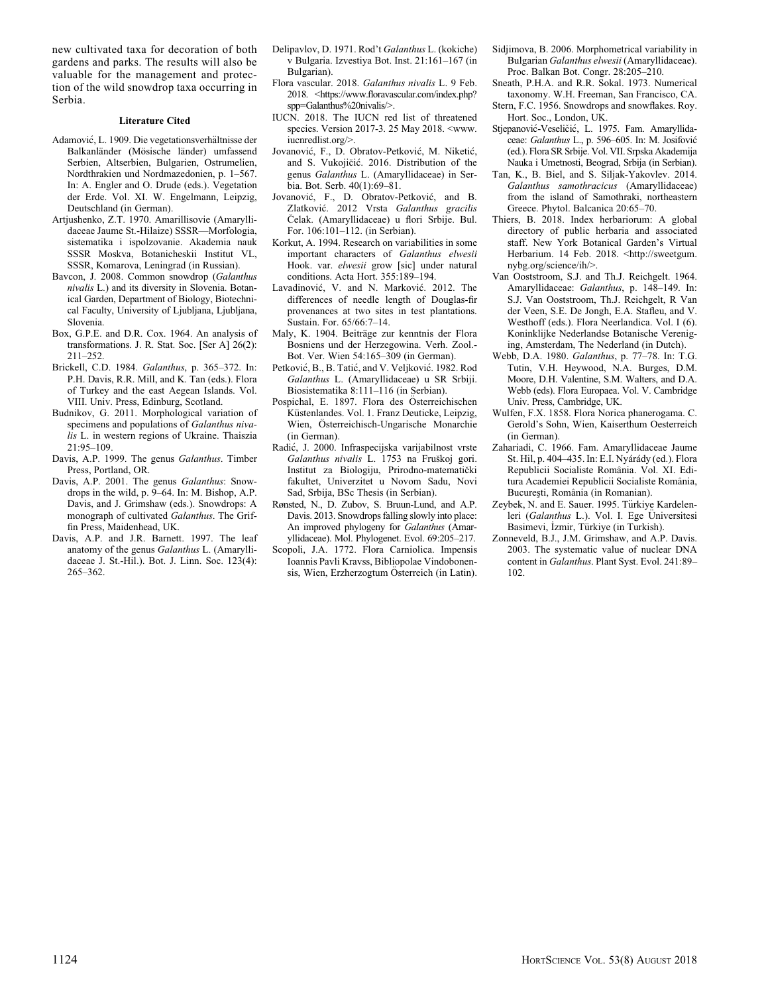new cultivated taxa for decoration of both gardens and parks. The results will also be valuable for the management and protection of the wild snowdrop taxa occurring in Serbia.

#### Literature Cited

- Adamović, L. 1909. Die vegetationsverhältnisse der Balkanländer (Mösische länder) umfassend Serbien, Altserbien, Bulgarien, Ostrumelien, Nordthrakien und Nordmazedonien, p. 1–567. In: A. Engler and O. Drude (eds.). Vegetation der Erde. Vol. XI. W. Engelmann, Leipzig, Deutschland (in German).
- Artjushenko, Z.T. 1970. Amarillisovie (Amaryllidaceae Jaume St.-Hilaize) SSSR—Morfologia, sistematika i ispolzovanie. Akademia nauk SSSR Moskva, Botanicheskii Institut VL, SSSR, Komarova, Leningrad (in Russian).
- Bavcon, J. 2008. Common snowdrop (Galanthus nivalis L.) and its diversity in Slovenia. Botanical Garden, Department of Biology, Biotechnical Faculty, University of Ljubljana, Ljubljana, Slovenia.
- Box, G.P.E. and D.R. Cox. 1964. An analysis of transformations. J. R. Stat. Soc. [Ser A] 26(2): 211–252.
- Brickell, C.D. 1984. Galanthus, p. 365–372. In: P.H. Davis, R.R. Mill, and K. Tan (eds.). Flora of Turkey and the east Aegean Islands. Vol. VIII. Univ. Press, Edinburg, Scotland.
- Budnikov, G. 2011. Morphological variation of specimens and populations of Galanthus nivalis L. in western regions of Ukraine. Thaiszia 21:95–109.
- Davis, A.P. 1999. The genus Galanthus. Timber Press, Portland, OR.
- Davis, A.P. 2001. The genus Galanthus: Snowdrops in the wild, p. 9–64. In: M. Bishop, A.P. Davis, and J. Grimshaw (eds.). Snowdrops: A monograph of cultivated Galanthus. The Griffin Press, Maidenhead, UK.
- Davis, A.P. and J.R. Barnett. 1997. The leaf anatomy of the genus Galanthus L. (Amaryllidaceae J. St.-Hil.). Bot. J. Linn. Soc. 123(4): 265–362.
- Delipavlov, D. 1971. Rod't Galanthus L. (kokiche) v Bulgaria. Izvestiya Bot. Inst. 21:161–167 (in Bulgarian).
- Flora vascular. 2018. Galanthus nivalis L. 9 Feb. 2018. <https://www.floravascular.com/index.php? spp=Galanthus%20nivalis/>.
- IUCN. 2018. The IUCN red list of threatened species. Version 2017-3. 25 May 2018. <www. iucnredlist.org/>.
- Jovanovic, F., D. Obratov-Petkovic, M. Niketic, and S. Vukojicic. 2016. Distribution of the genus Galanthus L. (Amaryllidaceae) in Serbia. Bot. Serb. 40(1):69–81.
- Jovanovic, F., D. Obratov-Petkovic, and B. Zlatkovic. 2012 Vrsta Galanthus gracilis Celak. (Amaryllidaceae) u flori Srbije. Bul. For. 106:101–112. (in Serbian).
- Korkut, A. 1994. Research on variabilities in some important characters of Galanthus elwesii Hook. var. elwesii grow [sic] under natural conditions. Acta Hort. 355:189–194.
- Lavadinovic, V. and N. Markovic. 2012. The differences of needle length of Douglas-fir provenances at two sites in test plantations. Sustain. For. 65/66:7–14.
- Maly, K. 1904. Beiträge zur kenntnis der Flora Bosniens und der Herzegowina. Verh. Zool.- Bot. Ver. Wien 54:165–309 (in German).
- Petkovic, B., B. Tatic, and V. Veljkovic. 1982. Rod Galanthus L. (Amaryllidaceae) u SR Srbiji. Biosistematika 8:111–116 (in Serbian).
- Pospichal, E. 1897. Flora des Osterreichischen Küstenlandes. Vol. 1. Franz Deuticke, Leipzig, Wien, Österreichisch-Ungarische Monarchie (in German).
- Radic, J. 2000. Infraspecijska varijabilnost vrste Galanthus nivalis L. 1753 na Fruskoj gori. Institut za Biologiju, Prirodno-matematicki fakultet, Univerzitet u Novom Sadu, Novi Sad, Srbija, BSc Thesis (in Serbian).
- Rønsted, N., D. Zubov, S. Bruun-Lund, and A.P. Davis. 2013. Snowdrops falling slowly into place: An improved phylogeny for Galanthus (Amaryllidaceae). Mol. Phylogenet. Evol. 69:205–217.
- Scopoli, J.A. 1772. Flora Carniolica. Impensis Ioannis Pavli Kravss, Bibliopolae Vindobonensis, Wien, Erzherzogtum Österreich (in Latin).
- Sidjimova, B. 2006. Morphometrical variability in Bulgarian Galanthus elwesii (Amaryllidaceae). Proc. Balkan Bot. Congr. 28:205–210.
- Sneath, P.H.A. and R.R. Sokal. 1973. Numerical taxonomy. W.H. Freeman, San Francisco, CA.
- Stern, F.C. 1956. Snowdrops and snowflakes. Roy. Hort. Soc., London, UK.
- Stjepanović-Veseličić, L. 1975. Fam. Amaryllidaceae: Galanthus L., p. 596–605. In: M. Josifovic (ed.). Flora SR Srbije. Vol. VII. Srpska Akademija Nauka i Umetnosti, Beograd, Srbija (in Serbian).
- Tan, K., B. Biel, and S. Siljak-Yakovlev. 2014. Galanthus samothracicus (Amaryllidaceae) from the island of Samothraki, northeastern Greece. Phytol. Balcanica 20:65–70.
- Thiers, B. 2018. Index herbariorum: A global directory of public herbaria and associated staff. New York Botanical Garden's Virtual Herbarium. 14 Feb. 2018. <http://sweetgum. nybg.org/science/ih/>.
- Van Ooststroom, S.J. and Th.J. Reichgelt. 1964. Amaryllidaceae: Galanthus, p. 148–149. In: S.J. Van Ooststroom, Th.J. Reichgelt, R Van der Veen, S.E. De Jongh, E.A. Stafleu, and V. Westhoff (eds.). Flora Neerlandica. Vol. I (6). Koninklijke Nederlandse Botanische Vereniging, Amsterdam, The Nederland (in Dutch).
- Webb, D.A. 1980. Galanthus, p. 77–78. In: T.G. Tutin, V.H. Heywood, N.A. Burges, D.M. Moore, D.H. Valentine, S.M. Walters, and D.A. Webb (eds). Flora Europaea. Vol. V. Cambridge Univ. Press, Cambridge, UK.
- Wulfen, F.X. 1858. Flora Norica phanerogama. C. Gerold's Sohn, Wien, Kaiserthum Oesterreich (in German).
- Zahariadi, C. 1966. Fam. Amaryllidaceae Jaume St. Hil, p. 404–435. In: E.I. Nyarady (ed.). Flora Republicii Socialiste Rom^ania. Vol. XI. Editura Academiei Republicii Socialiste România. Bucuresti, România (in Romanian).
- Zeybek, N. and E. Sauer. 1995. Türkiye Kardelenleri (Galanthus L.). Vol. I. Ege Üniversitesi Basimevi, İzmir, Türkiye (in Turkish).
- Zonneveld, B.J., J.M. Grimshaw, and A.P. Davis. 2003. The systematic value of nuclear DNA content in Galanthus. Plant Syst. Evol. 241:89– 102.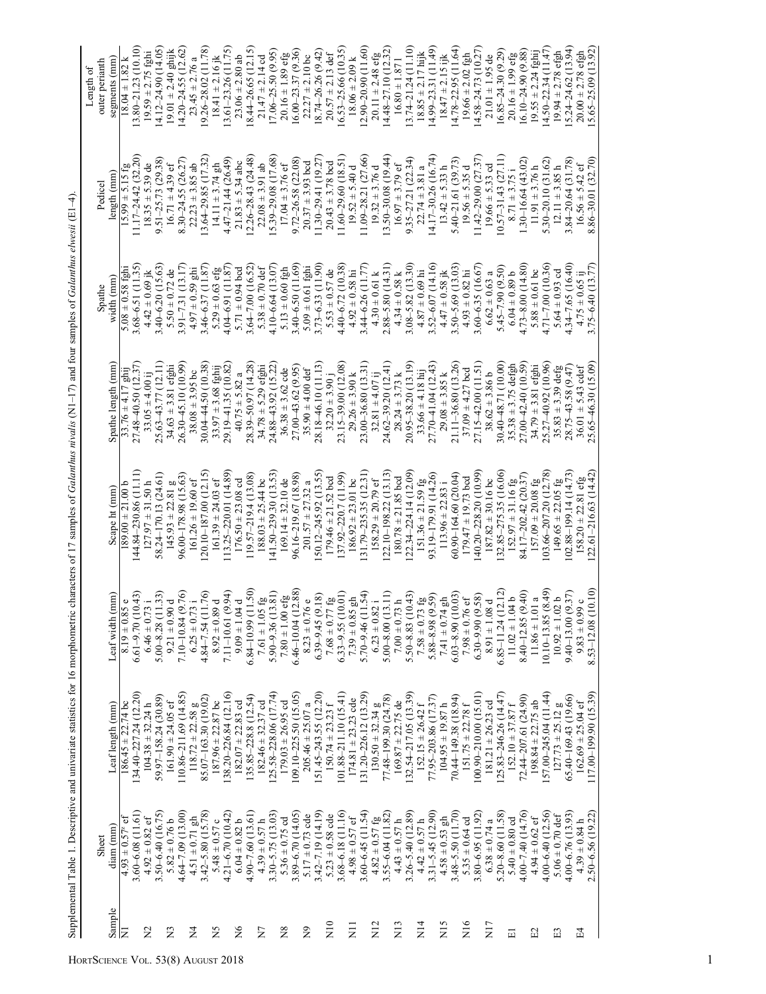|                          |                       |                           |                                             |                              |                           |                         |                           | Length of                |
|--------------------------|-----------------------|---------------------------|---------------------------------------------|------------------------------|---------------------------|-------------------------|---------------------------|--------------------------|
|                          | Sheet                 | Leaf length (mm)          | Leaf width (mm)                             |                              |                           | Spathe                  | Pedicel                   | outer perianth           |
| Sample<br>$\overline{E}$ | diam (mm)             |                           |                                             | Scape ht (mm)                | Spathe length (mm)        | width (mm)              | length (mm)               | segments (mm)            |
|                          | $4.93 \pm 0.57$ °t    | $186.45 \pm 22.74$ bc     | $8.19 \pm 0.85$                             | $189.00 \pm 21.00$           | $33.76 \pm 4.17$ ghi      | $5.08 \pm 0.58$ fghi    | $15.99 \pm 5.15$ fg       | $18.04 \pm 1.82$ k       |
|                          | $3.60 - 6.08$ (11.61) | $(34.40 - 227.24(12.20))$ | (64)<br>$6.61 - 9.70$ (10                   | $(44.84 - 230.86(11.11))$    | $27.48 - 40.50$ $(12.37)$ | $3.68 - 6.51(11.35)$    | $11.17 - 24.42(32.20)$    | $13.80 - 21.23$ (10.10)  |
| $\tilde{Z}$              | $4.92 \pm 0.82$ ef    | $104.38 \pm 32.24 h$      | $6.46 \pm 0.73$                             | $127.97 \pm 31.50$ h         | $33.05 \pm 4.00 i$        | $4.42 \pm 0.69$ ik      | $18.35 \pm 5.39$ de       | $19.59 \pm 2.75$ fghi    |
|                          | $3.50 - 6.40$ (16.75) | 59.97 – 158.24 (30.89)    | (33)<br>$5.00 - 8.28$ (11                   | 58.24-170.13 (24.61)         | 25.63 - 43.77 (12.11)     | $3.40 - 6.20$ $(15.63)$ | 9.51-25.73 (29.38)        | 14.12-24.90 (14.05)      |
| $\tilde{\mathbf{z}}$     | $5.82 \pm 0.76$ b     | $161.90 \pm 24.05$ ef     | $9.21 \pm 0.90$                             | $145.93 \pm 22.81$ g         | $34.63 \pm 3.81$ efghi    | $5.50 \pm 0.72$ de      | $16.71 \pm 4.39$ ef       | $19.01 \pm 2.40$ ghijk   |
|                          | $4.64 - 7.09$ (13.00) | 110.86-211.69 (14.85)     | $7.10 - 10.84$ (9)                          | 96.00 - 178.98 (15.63)       | 26.30-45.10 (10.99)       | $3.91 - 7.31(13.17)$    | 8.30 - 24.55 (26.27       | $14.20 - 24.55(12.62)$   |
| $\frac{4}{5}$            | $4.51 \pm 0.71$ gh    | $118.72 \pm 22.58$ g      | $6.25 \pm 0.73$ i                           | $161.26 \pm 19.60$ ef        | $38.08 \pm 3.95$ bc       | $4.97 \pm 0.59$ ghi     | $22.23 \pm 3.85$ ab       | $23.45 \pm 2.76$ a       |
|                          | $3.42 - 5.80$ (15.78) | 85.07-163.30 (19.02)      | $4.84 - 7.54(11.76)$                        | $120.10 - 187.00(12.15)$     | $30.04 - 44.50(10.38)$    | $3.46 - 6.37(11.87)$    | $13.64 - 29.85$ (17.32)   | $(9.26 - 28.02)$ (11.78) |
| $\Sigma$                 | 5.48 $\pm$ 0.57 c     | $187.96 \pm 22.87$ bc     | $\overline{\phantom{a}}$<br>$8.92 \pm 0.89$ | $161.39 \pm 24.03$ ef        | $33.97 \pm 3.68$ fghij    | $5.29 \pm 0.63$ efg     | $14.11 \pm 3.74$ gh       | $18.41 \pm 2.16$ jk      |
|                          | $4.21 - 6.70$ (10.42) | 138.20-226.84 (12.16)     | (56)<br>7.11-10.61 (9                       | 113.25-220.01 (14.89)        | 29.19-41.35 (10.82)       | $4.04 - 6.91(11.87)$    | $4.47 - 21.44$ (26.49)    | 13.61-23.26 (11.75)      |
| $\overline{X}$           | $6.04 \pm 0.82$ b     | $182.07 \pm 22.83$ cd     | $\overline{a}$<br>$9.09 \pm 1.04$           | $176.50 \pm 23.08$ cd        | $40.75 \pm 5.82$ a        | $5.71 \pm 0.94$ bcd     | $21.83 \pm 5.34$ abc      | $23.06 \pm 2.80$ ab      |
|                          | $4.90 - 7.60$ (13.61) | 135.85-228.8 (12.54)      | $6.84 - 10.99$ (11.50)                      | $119.57 - 219.4(13.08)$      | 28.39-50.97 (14.28)       | $3.64 - 7.00$ (16.52)   | $12.26 - 28.43$ $(24.48)$ | 18.44–26.65 (12.15)      |
| $\overline{Z}$           | $4.39 \pm 0.57 h$     | $182.46 \pm 32.37$ cd     | $\tilde{\mathbb{S}}$<br>$7.61 \pm 1.05$     | $188.03 \pm 25.44$ bc        | $34.78 \pm 5.29$ efghi    | $5.38 \pm 0.70$ def     | $22.08 \pm 3.91$ ab       | $21.47 \pm 2.14$ cd      |
|                          | $3.30 - 5.75$ (13.03) | $125.58 - 228.06$ (17.74) | $\left($ 18.<br>$5.90 - 9.36$ (13           | 141.50–239.30 (13.53)        | 24.88 - 43.92 (15.22)     | 4.10 - 6.64 (13.07)     | 15.39-29.08 (17.68)       | $17.06 - 25.50(9.95)$    |
| $_{\rm 8}$               | $5.36 \pm 0.75$ cd    | $179.03 \pm 26.95$ cd     | $7.80 \pm 1.00$ efg<br>6.46-10.04 (12.88)   | $169.14 \pm 32.10$ de        | $36.38 \pm 3.62$ cde      | $5.13 \pm 0.60$ fgh     | $17.04 \pm 3.76$ ef       | $20.16 \pm 1.89$ efg     |
|                          | $3.89 - 6.70$ (14.05) | $109.10 - 225.50(15.05)$  |                                             | 96.16-219.67 (18.98)         | 27.00 43.62 (9.95)        | $3.40 - 6.50(11.69)$    | $9.72 - 26.58$ (22.08)    | $16.00 - 23.37(9.36)$    |
| $\tilde{z}$              | $5.17 \pm 0.73$ cde   | $205.46 \pm 25.07$ a      | $\circ$<br>$8.23 \pm 0.76$                  | $201.57 \pm 27.32$ a         | $35.90 \pm 4.00$ def      | $5.09 \pm 0.61$ fghi    | $20.37 \pm 3.93$ bcd      | $22.27 \pm 2.10$ bc      |
|                          | $3.42 - 7.19(14.19)$  | 151.45-243.55 (12.20)     | $6.39 - 9.45(9.18)$                         | $150.12 - 245.92$ (13.55)    | 28.18-46.10 (11.13)       | $3.73 - 6.33(11.90)$    | $11.30 - 29.41(19.27)$    | 18.74–26.26 (9.42)       |
| $\frac{1}{2}$            | $5.23 \pm 0.58$ cde   | $150.74 \pm 23.23$ f      | $7.68\pm0.77$ fg                            | $179.46 \pm 21.52$ bcd       | $32.20 \pm 3.90$ j        | $5.53 \pm 0.57$ de      | $20.43 \pm 3.78$ bcd      | $20.57 \pm 2.13$ def     |
|                          | 3.68-6.18 (11.16)     | 101.88-211.10 (15.41)     | $6.33 - 9.55(10.01)$                        | 137.92-220.7 (11.99)         | 23.15-39.00 (12.08)       | $4.40 - 6.72$ (10.38)   | $(1.60 - 29.60(18.51))$   | 16.53-25.66 (10.35)      |
| $\Xi$                    | $4.98 \pm 0.57$ ef    | $174.81 \pm 23.23$ cde    | $7.39\pm0.85$ gh                            | $186.92 \pm 23.01$ bc        | $29.26 \pm 3.90$ k        | $4.92\pm0.58$ hi        | $19.52 \pm 5.40$ d        | $18.06 \pm 2.09$ k       |
|                          | $3.60 - 6.45$ (11.54) | $131.20 - 226.12(13.29)$  | $5.70-9.46(11.54)$<br>$6.23 \pm 0.82$ i     | $(31.79 - 235.35(12.31))$    | 23.00 - 36.80 (13.31)     | 3.44-6.26 (11.77)       | 11.09-28.21 (27.66)       | $12.90 - 20.90(11.60)$   |
| $\frac{2}{2}$            | $4.82 \pm 0.57$ fg    | $130.50 \pm 32.34$ g      |                                             | $158.29 \pm 20.79$ ef        | $32.81 \pm 4.07$ ij       | $4.30 \pm 0.61$ k       | $19.32 \pm 3.76$ d        | $20.11 \pm 2.48$ efg     |
|                          | $3.55 - 6.04(11.82)$  | 77.48-199.30 (24.78)      | $5.00 - 8.00$ $(13.11)$                     | $(22.10 - 198.22)$ $(13.13)$ | 24.62-39.20 (12.41)       | $2.88 - 5.80(14.31)$    | $13.50 - 30.08$ (19.44)   | $14.48 - 27.10(12.32)$   |
| $\overline{N}$ 13        | $4.43 \pm 0.57$ h     | $169.87 \pm 22.75$ de     | $\overline{a}$<br>$7.00 \pm 0.73$           | $180.78 \pm 21.85$ bcd       | $28.24 \pm 3.73$ k        | $4.34 \pm 0.58$ k       | $16.97 \pm 3.79$ ef       | $16.80 \pm 1.871$        |
|                          | $3.26 - 5.40(12.89)$  | $132.54 - 217.05(13.39)$  | $5.50 - 8.83(10.43)$                        | $122.34 - 224.14(12.09)$     | $20.95 - 38.20(13.19)$    | $3.08 - 5.82$ (13.30)   | $9.35 - 27.21(22.34)$     | $13.74 - 21.24(11.10)$   |
| $\overline{N}$ 14        | $4.42 \pm 0.57$ h     | $152.15 \pm 26.42$ f      |                                             | $151.36 \pm 21.59$ fg        | $33.66 \pm 4.18$ hij      | $4.87 \pm 0.69$ hi      | $22.74 \pm 3.81$ a        | $18.85 \pm 2.17$ hijk    |
|                          | $3.31 - 5.45(12.90)$  | 77.95-203.86 (17.37)      | $7.58 \pm 0.73$ fg<br>5.88-8.98 (9.59)      | 93.19-179.91 (14.26)         | 27.70-41.04 (12.43)       | $3.52 - 6.07$ (14.16)   | 14.17-30.26 (16.74)       | $(4.99 - 23.31(11.49))$  |
| XII <sub>5</sub>         | $4.58 \pm 0.53$ gh    | $104.95 \pm 19.87$ h      | $7.41 \pm 0.74$ gh                          | $113.96 \pm 22.83$ i         | $29.08 \pm 3.85$ k        | $4.47 \pm 0.58$ jk      | $13.42 \pm 5.33$ h        | $18.47 \pm 2.15$ ijk     |
|                          | 3.48-5.50 (11.70)     | 70.44-149.38 (18.94)      | $6.03 - 8.90(10.03)$<br>$7.98 \pm 0.76$ ef  | $60.90 - 164.60$ (20.04)     | 21.11-36.80 (13.26)       | $3.50 - 5.69$ (13.03)   | 5.40-21.61 (39.73)        | $14.78 - 22.95(11.64)$   |
| $\overline{N}$           | $5.35 \pm 0.64$ cd    | $151.75 \pm 22.78$ f      | $7.98 \pm 0.76$                             | $179.47 \pm 19.73$ bod       | $37.09 \pm 4.27$ bcd      | $4.93 \pm 0.82$ hi      | $19.56 \pm 5.35$ d        | $19.66 \pm 2.02$ fgh     |
|                          | $3.80 - 6.95$ (11.92) | 100.90-210.00 (15.01)     | $6.30 - 9.90(9.58)$                         | (40.20–228.20 (10.99)        | 27.15 - 42.00 (11.51)     | $3.60 - 6.35$ (16.67)   | $11.42 - 29.00$ $(27.37)$ | $14.58 - 24.73(10.27)$   |
| N <sub>17</sub>          | $6.38 \pm 0.74$ a     | $181.21 \pm 26.23$ cd     | $\overline{a}$<br>$8.91 \pm 1.08$           | $187.82 \pm 30.16$ bc        | $38.62 \pm 3.86$ b        | $6.62 \pm 0.63$ a       | $19.66 \pm 5.33$ cd       | $21.01 \pm 1.95$ de      |
|                          | 5.20-8.60 (11.58)     | 125.83-246.26 (14.47)     | $6.85 - 11.24(12.12)$                       | 132.85-275.35 (16.06)        | 30.40 48.71 (10.00)       | $5.45 - 7.90(9.50)$     | $10.57 - 31.43(27.11)$    | $16.85 - 24.30(9.29)$    |
| $\Xi$                    | 5.40 $\pm$ 0.80 cd    | $152.10 \pm 37.87$ f      | $11.02 \pm 1.04$ b                          | $152.97 \pm 31.16$ fg        | $35.38 \pm 3.75$ defgh    | $6.04\pm0.89$ b         | $8.71 \pm 3.75$ i         | $20.16 \pm 1.99$ efg     |
|                          | $4.00 - 7.40(14.76)$  | 72.44-207.61 (24.90)      | $8.40 - 12.85(9.40)$                        | 84.17-202.42 (20.37)         | $27.00 - 42.40(10.59)$    | $4.73 - 8.00$ $(14.80)$ | $1.30 - 16.64(43.02)$     | $16.10 - 24.90(9.88)$    |
| E2                       | $4.94 \pm 0.62$ ef    | $198.84 \pm 22.75$ ab     | $\frac{a}{a}$<br>$11.86 \pm 1.01$           | $157.09 \pm 20.08$ fg        | $34.79 \pm 3.81$ efghi    | $5.88 \pm 0.61$ bc      | $11.91 \pm 3.76$ h        | $19.55 \pm 2.24$ fghij   |
|                          | $4.00 - 6.40$ (12.56) | $57.00 - 245.04(11.44)$   | $10.10 - 13.85(8.49)$                       | 03.66-207.20 (12.78)         | 25.27 - 40.92 (10.96)     | $4.71 - 7.00$ (10.36)   | 5.30-20.10 (31.62)        | $(4.50 - 22.34(11.47))$  |
| E                        | $5.06 \pm 0.70$ def   | $127.73 \pm 25.12$ g      | $10.92 \pm 1.02$ b                          | $149.65 \pm 22.05$ fg        | $35.83 \pm 3.39$ defg     | 5.64 $\pm$ 0.93 cd      | $12.11 \pm 3.85$ h        | $19.94 \pm 2.78$ efgh    |
|                          | $4.00 - 6.76$ (13.93) | 65.40-169.43 (19.66)      | $9.40 - 13.00(9.37)$                        | $102.88 - 199.14(14.73)$     | $28.75 - 43.58(9.47)$     | 4.34-7.65 (16.40)       | 3.84–20.64 (31.78)        | $15.24 - 24.62(13.94)$   |
| E4                       | $4.39 \pm 0.84 h$     | $162.69 \pm 25.04$ ef     | $\circ$<br>$9.83 \pm 0.99$                  | $158.20 \pm 22.81$ efg       | $36.01 \pm 5.43$ cdef     | $4.75 \pm 0.65$ ij      | $16.56 \pm 5.42$ ef       | $20.00 \pm 2.78$ efgh    |
|                          | 2.50 - 6.56 (19.22)   | 117.00–199.90 (15.39)     | 8.53-12.08 (10.10)                          | 122.61–216.63 (14.42)        | $25.65 - 46.30(15.09)$    | $3.75 - 6.40$ (13.77)   | 8.86 - 30.01 (32.70)      | $15.65 - 25.09(13.92)$   |

Supplemental Table 1. Descriptive and univariate statistics for 16 morphometric characters of 17 samples of Galanthus nivalis (N1-17) and four samples of Galanthus elwesii (E1-4).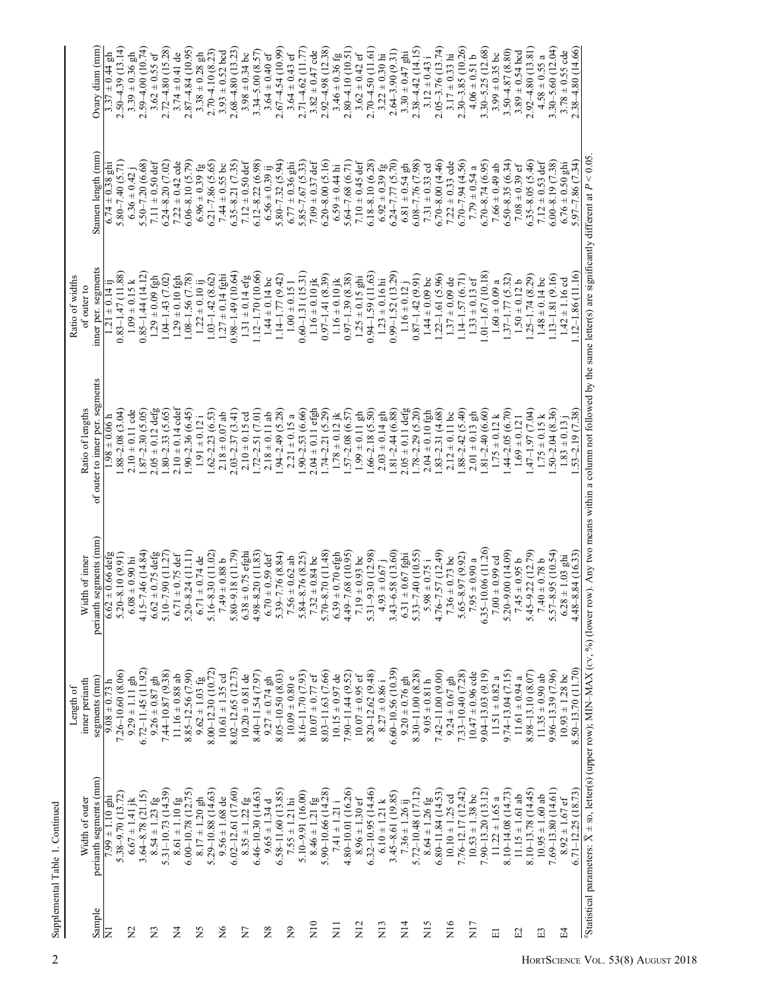|                   |                                                                                                        | Length of               |                                     |                                 | Ratio of widths          |                                    |                       |
|-------------------|--------------------------------------------------------------------------------------------------------|-------------------------|-------------------------------------|---------------------------------|--------------------------|------------------------------------|-----------------------|
|                   | Width of outer                                                                                         | inner perianth          | Width of inner                      | Ratio of lengths                | of outer to              |                                    |                       |
| Sample            | perianth segments (mm)                                                                                 | segments (mm)           | perianth segments (mm)              | of outer to inner per. segments | inner per. segments      | Stamen length (mm)                 | $Ovary$ diam $(mm)$   |
| E                 | $7.99 \pm 1.10$ ghi                                                                                    | $4.67 \pm 0.73$         | $6.62 \pm 0.66$ defg                | $1.98 \pm 0.06$ h               | $1.21 \pm 0.14$ ij       | $6.74 \pm 0.38$ ghi                | $3.37 \pm 0.44$ gh    |
|                   | 5.38-9.70 (13.72)                                                                                      | $7.26 - 10.60(8.06)$    | $5.20 - 8.10(9.91)$                 | $1.88 - 2.08$ (3.04)            | $0.83 - 1.47(11.88)$     | $5.80 - 7.40$ $(5.71)$             | $2.50 - 4.39(13.14)$  |
| $\Sigma$          | $6.67 \pm 1.41$ jk                                                                                     | $9.29 \pm 1.11$ gh      | $6.08 \pm 0.90$ hi                  | $2.10 \pm 0.11$ cde             | $1.09 \pm 0.15$ k        | $6.36 \pm 0.42$                    | $3.39 \pm 0.36$ gh    |
|                   | $3.64 - 8.78$ (21.15)                                                                                  | $6.72 - 11.45(11.92)$   | $4.15 - 7.46$ (14.84)               | $1.87 - 2.30(5.05)$             | $0.85 - 1.44(14.12)$     | $5.50 - 7.20$ $(6.68)$             | $2.59 - 4.00(10.74)$  |
| $\Sigma$          | $8.54 \pm 1.23$ fg                                                                                     | $9.26 \pm 0.87$ gh      | $6.62 \pm 0.75$ defg                | $2.05 \pm 0.12$ defg            | $1.29 \pm 0.09$ fgh      | 7.11 $\pm$ 0.50 def                | $3.62 \pm 0.55$ ef    |
|                   | $5.31 - 10.73(14.39)$                                                                                  | $7.44 - 10.87(9.38)$    | $5.10 - 7.90$ (11.27)               | $1.80 - 2.33(5.65)$             | $1.04 - 1.43(7.02)$      | $6.24 - 8.20$ $(7.02)$             | $2.72 - 4.80(15.28)$  |
| $\overline{2}$    | $8.61\pm1.10~\mathrm{fg}$                                                                              | $11.16 \pm 0.88$ ab     | $.71 \pm 0.75$ def<br>$\circ$       | $2.10 \pm 0.14$ cdef            | $1.29 \pm 0.10$ fgh      | $7.22 \pm 0.42$ cde                | $3.74 \pm 0.41$ de    |
|                   | $6.00 - 10.78$ (12.75)                                                                                 | 8.85 – 12.56 (7.90)     | $5.20 - 8.24$ (11.11)               | $1.90 - 2.36(6.45)$             | $1.08 - 1.56$ $(7.78)$   | $6.06 - 8.10(5.79)$                | $2.87 - 4.84(10.95)$  |
| ΣÁ                | $8.17 \pm 1.20$ gh                                                                                     | $9.62 \pm 1.03$ fg      | $6.71 \pm 0.74$ de                  | $1.91 \pm 0.12i$                | $1.22 \pm 0.10$ ij       | $6.96 \pm 0.39$ fg                 | $3.38 \pm 0.28$ gh    |
|                   | 5.29-10.88 (14.63)                                                                                     | $8.00 - 12.30(10.72)$   | $6 - 8.30(11.02)$<br>51             | $1.62 - 2.23(6.53)$             | $1.03 - 1.42$ (8.62)     | $6.21 - 7.86$ $(5.65)$             | $2.70 - 4.10(8.23)$   |
| $\frac{6}{2}$     | $9.56 \pm 1.68$ de                                                                                     | $10.61 \pm 1.35$ od     | $7.49 \pm 0.88$ b                   | $2.18 \pm 0.07$ ab              | $1.27 \pm 0.14$ fghi     | $7.44 \pm 0.55$ bc                 | $3.93 \pm 0.52$ bcd   |
|                   | 6.02-12.61 (17.60)                                                                                     | $8.02 - 12.65$ (12.73)  | $5.80 - 9.18$ (11.79)               | $2.03 - 2.37(3.41)$             | $0.98 - 1.49(10.64)$     | $6.35 - 8.21$ $(7.35)$             | $2.68 - 4.80(13.23)$  |
| $\overline{X}$    | $8.35 \pm 1.22$ fg                                                                                     | $10.20 \pm 0.81$ de     | $8 + 0.75$ efghi<br>$\mathbb{S}^3$  | $2.10 \pm 0.15$ cd              | $1.31 \pm 0.14$ efg      | $7.12 \pm 0.50$ def                | $3.98 \pm 0.34$ bc    |
|                   | $6.46 - 10.30(14.63)$                                                                                  | 8.40 11.54 (7.97)       | $8 - 8.20(11.83)$<br>$\ddot{ }$     | $1.72 - 2.51(7.01)$             | $1.12 - 1.70(10.66)$     | $6.12 - 8.22$ $(6.98)$             | $3.34 - 5.00 (8.57)$  |
| $_{\rm 8}$        | $9.65 \pm 1.34$ d                                                                                      | $9.27 \pm 0.74$ gh      | $.70 \pm 0.59$ def<br>$\circ$       | $2.18 \pm 0.11$ ab              | $1.44 \pm 0.14$ bc       | $6.56 \pm 0.39$ ij                 | $3.64 \pm 0.40$ ef    |
|                   | $6.58 - 11.60(13.85)$                                                                                  | $8.05 - 10.50(8.03)$    | $5.39 - 7.76(8.84)$                 | $.94 - 2.49$ (5.28)             | $1.14 - 1.77(9.42)$      | $5.80 - 7.32(5.94)$                | $2.67 - 4.54(10.99)$  |
| $\overline{2}$    | $7.55 \pm 1.21$ hi                                                                                     | $10.09 \pm 0.80 e$      | 7.56 $\pm$ 0.62 ab                  | $2.21 \pm 0.15$ a               | $1.00 \pm 0.151$         | $6.77 \pm 0.36$ ghi                | $3.64 \pm 0.43$ ef    |
|                   | $5.10 - 9.91(16.00)$                                                                                   | $8.16 - 11.70(7.93)$    | $5.84 - 8.76$ $(8.25)$              | $.90 - 2.53(6.66)$              | $0.60 - 1.31(15.31)$     | $5.85 - 7.67$ (5.33)               | $2.71 - 4.62$ (11.77) |
| $\frac{1}{2}$     | $8.46 \pm 1.21~\mathrm{fg}$                                                                            | $10.07 \pm 0.77$ ef     | $7.32 \pm 0.84$ bc                  | $2.04 \pm 0.11$ efgh            | $1.16 \pm 0.10$ jk       | $7.09 \pm 0.37$ def                | $3.82 \pm 0.47$ cde   |
|                   | $5.90 - 10.66(14.28)$                                                                                  | 8.03-11.63 (7.66)       | $5.70 - 8.70$ (11.48)               | $1.74 - 2.21(5.29)$             | $0.97 - 1.41(8.39)$      | $6.20 - 8.00$ $(5.16)$             | $2.92 - 4.98$ (12.38) |
| $\overline{z}$    | $7.41 \pm 1.21$ i                                                                                      | $10.15 \pm 0.97$ de     | $6.39 \pm 0.70$ efgh                | $1.78 \pm 0.12$ jk              | $1.16 \pm 0.10$ jk       | $6.59\pm0.44$ hi                   | $3.46 \pm 0.36$ fg    |
|                   | 4.80 - 10.01 (16.26)                                                                                   | $7.90 - 11.44(9.52)$    | $4.49 - 7.68(10.95)$                | $1.57 - 2.08$ (6.57)            | $0.97 - 1.39(8.38)$      | $5.64 - 7.68$ $(6.71)$             | $2.80 - 4.10(10.51)$  |
| $\overline{N}$ 12 | $8.96 \pm 1.30$ ef                                                                                     | $10.07 \pm 0.95$ ef     | $19 \pm 0.93$ bc                    | $1.99 \pm 0.11$ gh              | $1.25 \pm 0.15$ ghi      | $7.10 \pm 0.45$ def                | $3.62 \pm 0.42$ ef    |
|                   | $6.32 - 10.95(14.46)$                                                                                  | 8.20 - 12.62 (9.48)     | $5.31 - 9.30(12.98)$                | $.66 - 2.18$ (5.50)             | $0.94 - 1.59(11.63)$     | $6.18 - 8.10$ $(6.28)$             | $2.70 - 4.50(11.61)$  |
| $\overline{N}$    | $6.10 \pm 1.21$ k                                                                                      | $8.27 \pm 0.86$ i       | $4.93 \pm 0.67$                     | $2.03 \pm 0.14$ gh              | $1.23 \pm 0.16$ hi       | $6.92 \pm 0.39$ fg                 | $3.22 \pm 0.30$ hi    |
|                   | $3.45 - 8.61(19.85)$                                                                                   | $6.60 - 10.56(10.39)$   | $3.43 - 6.58(13.60)$                | $1.81 - 2.44(6.88)$             | $0.99 - 1.52$ (13.29)    | $6.24 - 7.77$ (5.70)               | $2.64 - 3.90(9.31)$   |
| $\frac{4}{14}$    | $7.36 \pm 1.26$ ij                                                                                     | $9.20 \pm 0.76$ gh      | $6.31 \pm 0.67$ fghi                | $2.05 \pm 0.11$ defg            | $1.16 \pm 0.12$ j        | $6.81 \pm 0.54$ gh                 | $3.30 \pm 0.47$ ghi   |
|                   | 5.72-10.48 (17.12)                                                                                     | 8.30-11.00 (8.28)       | $5.33 - 7.40(10.55)$                | $1.78 - 2.29$ (5.20)            | $0.87 - 1.42(9.91)$      | $6.08 - 7.76$ $(7.98)$             | $2.38 - 4.42(14.15)$  |
| SIN               | $8.64 \pm 1.26~\mathrm{fg}$                                                                            | $9.05 \pm 0.81$ h       | $5.98 \pm 0.75$                     | $2.04 \pm 0.10$ fgh             | $1.44 \pm 0.09$ bc       | $7.31 \pm 0.33$ od                 | $3.12 \pm 0.43$ i     |
|                   | $6.80 - 11.84(14.53)$                                                                                  | $7.42 - 11.00(9.00)$    | $4.76 - 7.57(12.49)$                | $.83 - 2.31(4.68)$              | $1.22 - 1.61(5.96)$      | $6.70 - 8.00$ $(4.46)$             | $2.05 - 3.76$ (13.74) |
| $\overline{N}16$  | $10.10 \pm 1.25$ cd                                                                                    | $9.24 \pm 0.67$ gh      | $7.36\pm0.73$ bc                    | $2.12 \pm 0.11$ bc              | $1.37 \pm 0.09$ de       | $7.22 \pm 0.33$ cde                | $3.17 \pm 0.33$ hi    |
|                   | $7.76 - 12.17(12.42)$                                                                                  | $7.33 - 10.40(7.28)$    | $65 - 8.97(9.92)$<br>s.             | $.88 - 2.42$ (5.40)             | $1.14 - 1.57(6.71)$      | $6.70 - 7.94$ (4.56)               | 2.30-3.85 (10.26)     |
| N <sub>17</sub>   | $10.53 \pm 1.38$ bc                                                                                    | $10.47 \pm 0.96$ cde    | $7.95 \pm 0.90$ a                   | $2.01 \pm 0.13$ gh              | $1.33 \pm 0.13$ ef       | $7.79 \pm 0.54$ a                  | $4.06 \pm 0.51$ b     |
|                   | $7.90 - 13.20(13.12)$                                                                                  | $9.04 - 13.03(9.19)$    | 5-10.06 (11.26)<br>6.3              | $.81 - 2.40(6.60)$              | $1.01 - 1.67(10.18)$     | $6.70 - 8.74$ $(6.95)$             | $3.30 - 5.25(12.68)$  |
| 冚                 | $11.22 \pm 1.65$ a                                                                                     | $11.51 \pm 0.82$ a      | $0.00 \pm 0.99$ cd                  | $1.75 \pm 0.12$ k               | $1.60 \pm 0.09$ a        | $7.66 \pm 0.49$ ab                 | $3.99 \pm 0.35$ bc    |
|                   | $8.10 - 14.08(14.73)$                                                                                  | $9.74 - 13.04$ $(7.15)$ | $5.20 - 9.00(14.09)$                | $1.44 - 2.05(6.70)$             | $1.37 - 1.77$ (5.32)     | $6.50 - 8.35(6.34)$                | $3.50 - 4.87(8.80)$   |
| E                 | $11.15 \pm 1.61$ ab                                                                                    | $11.61 \pm 0.94$ a      | $7.45 \pm 0.95$ b                   | $1.69 \pm 0.121$                | $1.50 \pm 0.12$ b        | $7.08 \pm 0.39$ ef                 | $3.89 \pm 0.54$ bcd   |
|                   | $8.10 - 13.78(14.45)$                                                                                  | $8.98 - 13.10(8.07)$    | $5.45 - 9.22$ $(12.79)$             | $(47-1.97(7.04))$               | $1.25 - 1.74$ $(8.29)$   | $6.35 - 8.05$ $(5.46)$             | $2.92 - 4.80(13.81)$  |
| 岊                 | $10.95 \pm 1.60$ ab                                                                                    | $11.35 \pm 0.90$ ab     | $7.40 \pm 0.78$ b                   | $1.75 \pm 0.15$ k               | $1.48 \pm 0.14$ bc       | $7.12 \pm 0.53$ def                | $4.58 \pm 0.55 a$     |
|                   | 7.69-13.80 (14.61)                                                                                     | $9.96 - 13.39(7.96)$    | $5.57 - 8.95(10.54)$                | $.50 - 2.04(8.36)$              | $1.13 - 1.81$ (9.16)     | $6.00 - 8.19$ $(7.38)$             | $3.30 - 5.60$ (12.04) |
| 덥                 | $8.92 \pm 1.67$ ef                                                                                     | $10.93 \pm 1.28$ bc     | $6.28 \pm 1.03$ ghi                 | $.83 \pm 0.13$                  | $1.42 \pm 1.16$ cd       | $6.76 \pm 0.50$ ghi                | $3.78 \pm 0.55$ cde   |
|                   | $6.71 - 12.25(18.73)$                                                                                  | 8.50-13.70 (11.70)      | $-8 - 8.84(16.33)$<br>$\frac{4}{4}$ | $1.53 - 2.19(7.38)$             | $1.12 - 1.86(11.16)$     | $5.97 - 7.86$ $(7.34)$             | $2.38 - 4.80(14.66)$  |
|                   | $Z_{\text{Qndiction}}$ normator: $\bar{Y}$ + cn $\vert$ attar(c) (unner row). MNL MAY (cu, 0/3) (lower |                         | $\mathbf{r}$                        | aane within a                   | $\ln t$ the came $\ln t$ | mificantly different at $D < 0.05$ |                       |

 $0.05$ .  $\alpha$  are defined at  $P$ significantly ä  $\tilde{s}$ ₫ same  $\mathbf{H}$ Ş g ∍  $\overline{\mathsf{C}}$  $\overline{a}$ ã colu  $\mathfrak{a}$ WIUII two means wer row). Any  $\frac{1}{20}$ (S) (upper row); MIN-MAA (CV, E Ξ ă, н ∢ Statistical parameters:

Supplemental Table 1. Continued  $\overline{c}$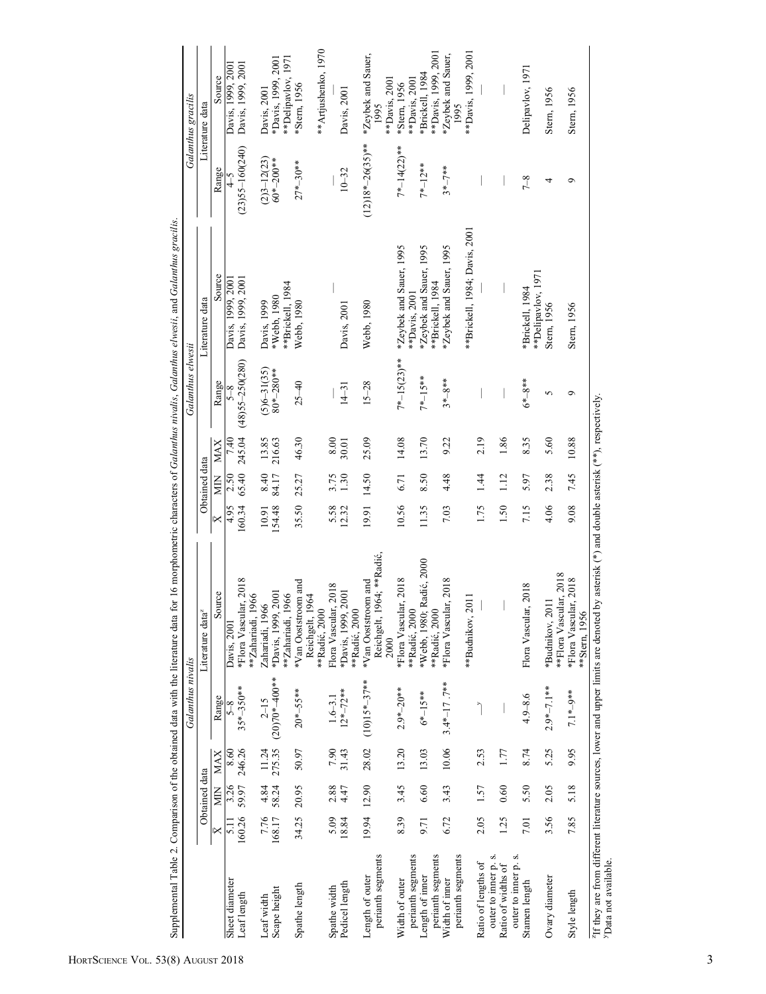|                                             |                |                |              | Galanthus nivalis            |                                                                                                                                            |                         |               |                     | Galanthus elwesii            |                                             |                     | Galanthus gracilis                          |
|---------------------------------------------|----------------|----------------|--------------|------------------------------|--------------------------------------------------------------------------------------------------------------------------------------------|-------------------------|---------------|---------------------|------------------------------|---------------------------------------------|---------------------|---------------------------------------------|
|                                             |                | Obtained data  |              |                              | Ŋ<br>Literature data                                                                                                                       |                         | Obtained data |                     |                              | Literature data                             |                     | Literature data                             |
|                                             | $\Join$        | Š              | <b>MAX</b>   | Range                        | Source                                                                                                                                     | $\overline{\mathsf{x}}$ | МN            | <b>MAX</b>          | Range                        | Source                                      | Range               | Source                                      |
| Sheet diameter                              |                | 3.26           | 8.60         | $5 - 8$                      | Davis, 2001                                                                                                                                | 4.95                    | 2.50          | 7.40                | $5-8$                        | Davis, 1999, 200                            |                     | Davis, 1999, 2001                           |
| Leaf length                                 | 160.26         |                | 59.97 246.26 | $35*-350**$                  | *Flora Vascular, 2018<br>1966<br>**Zahariadi,                                                                                              | 160.34                  | 65.40         | 245.04              | $(48)55 - 250(280)$          | Davis, 1999, 2001                           | $(23)55 - 160(240)$ | Davis, 1999, 2001                           |
| Leaf width                                  |                | 4.84           | 11.24        | $2 - 15$                     | Zahariadi, 1966                                                                                                                            | 10.91                   | 8.40          |                     |                              | Davis, 1999                                 | $(2)3 - 12(23)$     | Davis, 2001                                 |
| Scape height                                | 7.76<br>168.17 | 58.24          | 275.35       | $(20)70*–400**$              | 1,2001<br>*Davis, 1999.                                                                                                                    | 154.48                  | 84.17         | $13.85$<br>$216.63$ | $(5)6 - 31(35)$<br>80*-280** | *Webb. 1980                                 | $60* - 200**$       | *Davis, 1999, 2001                          |
|                                             |                |                |              |                              | 1966<br>**Zahariadi,                                                                                                                       |                         |               |                     |                              | **Brickell, 1984                            |                     | **Delipavlov, 1971                          |
| Spathe length                               | 34.25          | 20.95          | 50.97        | $20*-55***$                  | *Van Ooststroom and<br>1964<br>Reichgelt,                                                                                                  | 35.50                   | 25.27         | 46.30               | $25 - 40$                    | Webb, 1980                                  | $27*-30**$          | *Stern, 1956                                |
|                                             |                |                |              |                              | **Radić, 2000                                                                                                                              |                         |               |                     |                              |                                             |                     | **Artjushenko, 1970                         |
| Spathe width                                | 5.09           | $2.88$<br>4.47 | 7.90         | $1.6 - 3.1$                  | Flora Vascular, 2018                                                                                                                       | 5.58                    | 3.75          | $8.00\,$            |                              |                                             |                     |                                             |
| Pedicel length                              | 18.84          |                | 31.43        | $12^{*}-72^{**}$             | *Davis, 1999, 2001<br>**Radić, 2000                                                                                                        | 12.32                   | 1.30          | 30.01               | $14 - 31$                    | Davis, 2001                                 | $10 - 32$           | Davis, 2001                                 |
|                                             |                |                |              |                              |                                                                                                                                            |                         |               |                     |                              |                                             |                     |                                             |
| perianth segments<br>Length of outer        |                | 19.94 12.90    |              | $28.02$ $(10)15^{*-3}7^{**}$ | Reichgelt, 1964; **Radić,<br>*Van Ooststroom and<br>2000                                                                                   | 19.91                   | 14.50         | 25.09               | $15 - 28$                    | Webb, 1980                                  | $(12)18*-26(35)**$  | *Zeybek and Sauer,<br>**Davis, 2001<br>1995 |
| Width of outer                              | 8.39           | 3.45           | 13.20        | $2.9*-20**$                  | *Flora Vascular, 2018<br>**Radić, 2000                                                                                                     | 10.56                   | 6.71          | 14.08               | $7^{*-15(23)**}$             | *Zeybek and Sauer, 1995                     | $7^{*-14}$ (22)**   | *Stern, 1956                                |
| perianth segments                           |                |                |              |                              |                                                                                                                                            |                         |               |                     |                              | **Davis, 2001                               |                     | **Davis, 2001                               |
| perianth segments<br>Length of inner        | 9.71           | 6.60           | 13.03        | $6^{*}-15^{**}$              | *Webb, 1980; Radić, 2000<br>**Radić, 2000                                                                                                  | 11.35                   | 8.50          | 13.70               | 7*-15**                      | *Zeybek and Sauer, 1995<br>**Brickell, 1984 | $7^{*}-12^{**}$     | **Davis, 1999, 2001<br>*Brickell, 1984      |
| Width of inner                              | 6.72           | 3.43           | 10.06        | $3.4*-17.7***$               | *Flora Vascular, 2018                                                                                                                      | 7.03                    | 4.48          | 9.22                | $3*-8***$                    | *Zeybek and Sauer, 1995                     | $3 * 7 * *$         | *Zeybek and Sauer,                          |
| perianth segments                           |                |                |              |                              |                                                                                                                                            |                         |               |                     |                              |                                             |                     | 1995                                        |
|                                             |                |                |              |                              | 2011<br>**Budnikov,                                                                                                                        |                         |               |                     |                              | **Brickell, 1984; Davis, 2001               |                     | **Davis, 1999, 2001                         |
| outer to inner p. s.<br>Ratio of lengths of | 2.05           | 1.57           | 2.53         |                              |                                                                                                                                            | 1.75                    | 1.44          | 2.19                |                              |                                             |                     |                                             |
| Ratio of widths of                          | 1.25           | 0.60           | 1.77         |                              |                                                                                                                                            | 1.50                    | 1.12          | 1.86                |                              |                                             |                     |                                             |
| outer to inner p. s.                        |                |                |              |                              |                                                                                                                                            |                         |               |                     |                              |                                             |                     |                                             |
| Stamen length                               | 7.01           | 5.50           | 8.74         | $4.9 - 8.6$                  | Flora Vascular, 2018                                                                                                                       | 7.15                    | 5.97          | 8.35                | $6*–8**$                     | **Delipavlov, 1971<br>*Brickell, 1984       | $7 - 8$             | Delipavlov, 1971                            |
| Ovary diameter                              | 3.56           | 2.05           | 5.25         | $2.9*-7.1**$                 | **Flora Vascular, 2018<br>*Budnikov, 2011                                                                                                  | 4.06                    | 2.38          | 5.60                | 5                            | Stern, 1956                                 | 4                   | Stern, 1956                                 |
| Style length                                | 7.85           | 5.18           | 9.95         | 7.1*-9**                     | *Flora Vascular, 2018<br>**Stern, 1956                                                                                                     | 9.08                    | 7.45          | 10.88               | ᡋ                            | Stern, 1956                                 | $\circ$             | Stern, 1956                                 |
| <sup>y</sup> Data not available.            |                |                |              |                              | "If they are from different literature sources, lower and upper limits are denoted by asterisk (*) and double asterisk (**), respectively. |                         |               |                     |                              |                                             |                     |                                             |

Supplemental Table 2. Comparison of the obtained data with the literature data for 16 morphometric characters of Galanthus nivalis, Galanthus elwesii, and Galanthus gracilis. Supplemental Table 2. Comparison of the obtained data with the literature data for 16 morphometric characters of Galanthus nivalis, Galanthus elwesti, and Galanthus gracilis.